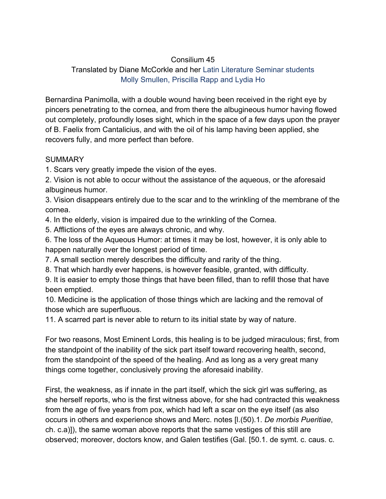## Consilium 45

## Translated by Diane McCorkle and her Latin Literature Seminar students Molly Smullen, Priscilla Rapp and Lydia Ho

Bernardina Panimolla, with a double wound having been received in the right eye by pincers penetrating to the cornea, and from there the albugineous humor having flowed out completely, profoundly loses sight, which in the space of a few days upon the prayer of B. Faelix from Cantalicius, and with the oil of his lamp having been applied, she recovers fully, and more perfect than before.

## **SUMMARY**

1. Scars very greatly impede the vision of the eyes.

2. Vision is not able to occur without the assistance of the aqueous, or the aforesaid albugineus humor.

3. Vision disappears entirely due to the scar and to the wrinkling of the membrane of the cornea.

4. In the elderly, vision is impaired due to the wrinkling of the Cornea.

5. Afflictions of the eyes are always chronic, and why.

6. The loss of the Aqueous Humor: at times it may be lost, however, it is only able to happen naturally over the longest period of time.

7. A small section merely describes the difficulty and rarity of the thing.

8. That which hardly ever happens, is however feasible, granted, with difficulty.

9. It is easier to empty those things that have been filled, than to refill those that have been emptied.

10. Medicine is the application of those things which are lacking and the removal of those which are superfluous.

11. A scarred part is never able to return to its initial state by way of nature.

For two reasons, Most Eminent Lords, this healing is to be judged miraculous; first, from the standpoint of the inability of the sick part itself toward recovering health, second, from the standpoint of the speed of the healing. And as long as a very great many things come together, conclusively proving the aforesaid inability.

First, the weakness, as if innate in the part itself, which the sick girl was suffering, as she herself reports, who is the first witness above, for she had contracted this weakness from the age of five years from pox, which had left a scar on the eye itself (as also occurs in others and experience shows and Merc. notes [l.(50).1. *De morbis Pueritiae*, ch. c.a)]), the same woman above reports that the same vestiges of this still are observed; moreover, doctors know, and Galen testifies (Gal. [50.1. de symt. c. caus. c.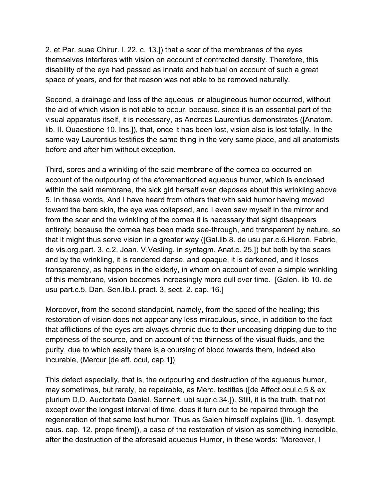2. et Par. suae Chirur. l. 22. c. 13.]) that a scar of the membranes of the eyes themselves interferes with vision on account of contracted density. Therefore, this disability of the eye had passed as innate and habitual on account of such a great space of years, and for that reason was not able to be removed naturally.

Second, a drainage and loss of the aqueous or albugineous humor occurred, without the aid of which vision is not able to occur, because, since it is an essential part of the visual apparatus itself, it is necessary, as Andreas Laurentius demonstrates ([Anatom. lib. II. Quaestione 10. Ins.]), that, once it has been lost, vision also is lost totally. In the same way Laurentius testifies the same thing in the very same place, and all anatomists before and after him without exception.

Third, sores and a wrinkling of the said membrane of the cornea co-occurred on account of the outpouring of the aforementioned aqueous humor, which is enclosed within the said membrane, the sick girl herself even deposes about this wrinkling above 5. In these words, And I have heard from others that with said humor having moved toward the bare skin, the eye was collapsed, and I even saw myself in the mirror and from the scar and the wrinkling of the cornea it is necessary that sight disappears entirely; because the cornea has been made see-through, and transparent by nature, so that it might thus serve vision in a greater way ([Gal.lib.8. de usu par.c.6.Hieron. Fabric, de vis.org.part. 3. c.2. Joan. V.Vesling. in syntagm. Anat.c. 25.]) but both by the scars and by the wrinkling, it is rendered dense, and opaque, it is darkened, and it loses transparency, as happens in the elderly, in whom on account of even a simple wrinkling of this membrane, vision becomes increasingly more dull over time. [Galen. lib 10. de usu part.c.5. Dan. Sen.lib.I. pract. 3. sect. 2. cap. 16.]

Moreover, from the second standpoint, namely, from the speed of the healing; this restoration of vision does not appear any less miraculous, since, in addition to the fact that afflictions of the eyes are always chronic due to their unceasing dripping due to the emptiness of the source, and on account of the thinness of the visual fluids, and the purity, due to which easily there is a coursing of blood towards them, indeed also incurable, (Mercur [de aff. ocul, cap.1])

This defect especially, that is, the outpouring and destruction of the aqueous humor, may sometimes, but rarely, be repairable, as Merc. testifies ([de Affect.ocul.c.5 & ex plurium D,D. Auctoritate Daniel. Sennert. ubi supr.c.34.]). Still, it is the truth, that not except over the longest interval of time, does it turn out to be repaired through the regeneration of that same lost humor. Thus as Galen himself explains ([lib. 1. desympt. caus. cap. 12. prope finem]), a case of the restoration of vision as something incredible, after the destruction of the aforesaid aqueous Humor, in these words: "Moreover, I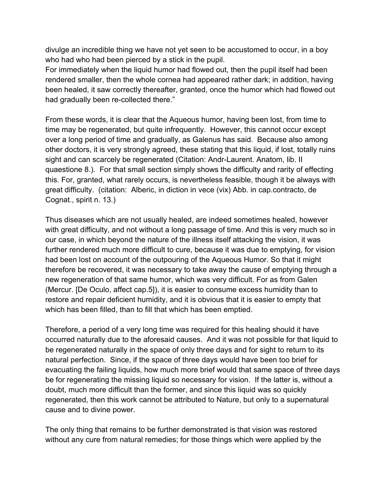divulge an incredible thing we have not yet seen to be accustomed to occur, in a boy who had who had been pierced by a stick in the pupil.

For immediately when the liquid humor had flowed out, then the pupil itself had been rendered smaller, then the whole cornea had appeared rather dark; in addition, having been healed, it saw correctly thereafter, granted, once the humor which had flowed out had gradually been re-collected there."

From these words, it is clear that the Aqueous humor, having been lost, from time to time may be regenerated, but quite infrequently. However, this cannot occur except over a long period of time and gradually, as Galenus has said. Because also among other doctors, it is very strongly agreed, these stating that this liquid, if lost, totally ruins sight and can scarcely be regenerated (Citation: Andr-Laurent. Anatom, lib. II quaestione 8.). For that small section simply shows the difficulty and rarity of effecting this. For, granted, what rarely occurs, is nevertheless feasible, though it be always with great difficulty. (citation: Alberic, in diction in vece (vix) Abb. in cap.contracto, de Cognat., spirit n. 13.)

Thus diseases which are not usually healed, are indeed sometimes healed, however with great difficulty, and not without a long passage of time. And this is very much so in our case, in which beyond the nature of the illness itself attacking the vision, it was further rendered much more difficult to cure, because it was due to emptying, for vision had been lost on account of the outpouring of the Aqueous Humor. So that it might therefore be recovered, it was necessary to take away the cause of emptying through a new regeneration of that same humor, which was very difficult. For as from Galen (Mercur. [De Oculo, affect cap.5]), it is easier to consume excess humidity than to restore and repair deficient humidity, and it is obvious that it is easier to empty that which has been filled, than to fill that which has been emptied.

Therefore, a period of a very long time was required for this healing should it have occurred naturally due to the aforesaid causes. And it was not possible for that liquid to be regenerated naturally in the space of only three days and for sight to return to its natural perfection. Since, if the space of three days would have been too brief for evacuating the failing liquids, how much more brief would that same space of three days be for regenerating the missing liquid so necessary for vision. If the latter is, without a doubt, much more difficult than the former, and since this liquid was so quickly regenerated, then this work cannot be attributed to Nature, but only to a supernatural cause and to divine power.

The only thing that remains to be further demonstrated is that vision was restored without any cure from natural remedies; for those things which were applied by the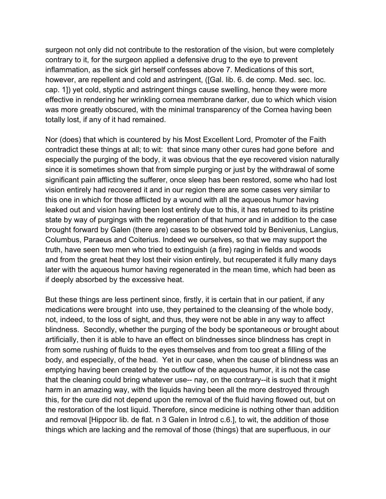surgeon not only did not contribute to the restoration of the vision, but were completely contrary to it, for the surgeon applied a defensive drug to the eye to prevent inflammation, as the sick girl herself confesses above 7. Medications of this sort, however, are repellent and cold and astringent, ([Gal. lib. 6. de comp. Med. sec. loc. cap. 1]) yet cold, styptic and astringent things cause swelling, hence they were more effective in rendering her wrinkling cornea membrane darker, due to which which vision was more greatly obscured, with the minimal transparency of the Cornea having been totally lost, if any of it had remained.

Nor (does) that which is countered by his Most Excellent Lord, Promoter of the Faith contradict these things at all; to wit: that since many other cures had gone before and especially the purging of the body, it was obvious that the eye recovered vision naturally since it is sometimes shown that from simple purging or just by the withdrawal of some significant pain afflicting the sufferer, once sleep has been restored, some who had lost vision entirely had recovered it and in our region there are some cases very similar to this one in which for those afflicted by a wound with all the aqueous humor having leaked out and vision having been lost entirely due to this, it has returned to its pristine state by way of purgings with the regeneration of that humor and in addition to the case brought forward by Galen (there are) cases to be observed told by Benivenius, Langius, Columbus, Paraeus and Coiterius. Indeed we ourselves, so that we may support the truth, have seen two men who tried to extinguish (a fire) raging in fields and woods and from the great heat they lost their vision entirely, but recuperated it fully many days later with the aqueous humor having regenerated in the mean time, which had been as if deeply absorbed by the excessive heat.

But these things are less pertinent since, firstly, it is certain that in our patient, if any medications were brought into use, they pertained to the cleansing of the whole body, not, indeed, to the loss of sight, and thus, they were not be able in any way to affect blindness. Secondly, whether the purging of the body be spontaneous or brought about artificially, then it is able to have an effect on blindnesses since blindness has crept in from some rushing of fluids to the eyes themselves and from too great a filling of the body, and especially, of the head. Yet in our case, when the cause of blindness was an emptying having been created by the outflow of the aqueous humor, it is not the case that the cleaning could bring whatever use-- nay, on the contrary--it is such that it might harm in an amazing way, with the liquids having been all the more destroyed through this, for the cure did not depend upon the removal of the fluid having flowed out, but on the restoration of the lost liquid. Therefore, since medicine is nothing other than addition and removal [Hippocr lib. de flat. n 3 Galen in Introd c.6.], to wit, the addition of those things which are lacking and the removal of those (things) that are superfluous, in our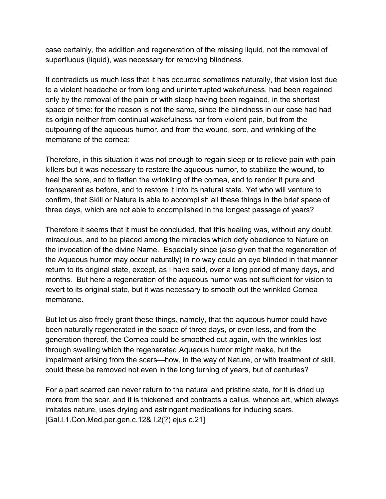case certainly, the addition and regeneration of the missing liquid, not the removal of superfluous (liquid), was necessary for removing blindness.

It contradicts us much less that it has occurred sometimes naturally, that vision lost due to a violent headache or from long and uninterrupted wakefulness, had been regained only by the removal of the pain or with sleep having been regained, in the shortest space of time: for the reason is not the same, since the blindness in our case had had its origin neither from continual wakefulness nor from violent pain, but from the outpouring of the aqueous humor, and from the wound, sore, and wrinkling of the membrane of the cornea;

Therefore, in this situation it was not enough to regain sleep or to relieve pain with pain killers but it was necessary to restore the aqueous humor, to stabilize the wound, to heal the sore, and to flatten the wrinkling of the cornea, and to render it pure and transparent as before, and to restore it into its natural state. Yet who will venture to confirm, that Skill or Nature is able to accomplish all these things in the brief space of three days, which are not able to accomplished in the longest passage of years?

Therefore it seems that it must be concluded, that this healing was, without any doubt, miraculous, and to be placed among the miracles which defy obedience to Nature on the invocation of the divine Name. Especially since (also given that the regeneration of the Aqueous humor may occur naturally) in no way could an eye blinded in that manner return to its original state, except, as I have said, over a long period of many days, and months. But here a regeneration of the aqueous humor was not sufficient for vision to revert to its original state, but it was necessary to smooth out the wrinkled Cornea membrane.

But let us also freely grant these things, namely, that the aqueous humor could have been naturally regenerated in the space of three days, or even less, and from the generation thereof, the Cornea could be smoothed out again, with the wrinkles lost through swelling which the regenerated Aqueous humor might make, but the impairment arising from the scars—how, in the way of Nature, or with treatment of skill, could these be removed not even in the long turning of years, but of centuries?

For a part scarred can never return to the natural and pristine state, for it is dried up more from the scar, and it is thickened and contracts a callus, whence art, which always imitates nature, uses drying and astringent medications for inducing scars. [Gal.l.1.Con.Med.per.gen.c.12& l.2(?) ejus c.21]